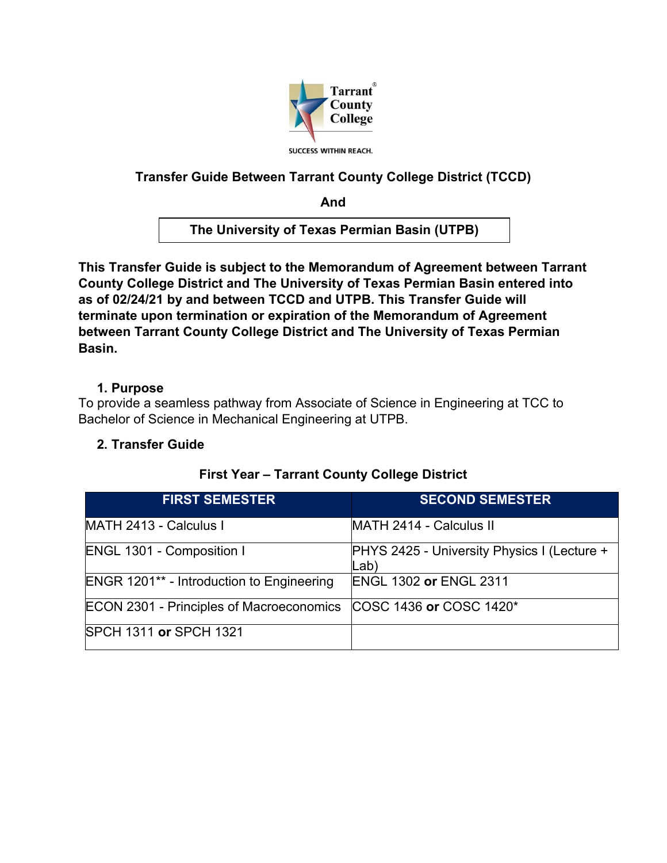

# **Transfer Guide Between Tarrant County College District (TCCD)**

**And**

**The University of Texas Permian Basin (UTPB)**

**This Transfer Guide is subject to the Memorandum of Agreement between Tarrant County College District and The University of Texas Permian Basin entered into as of 02/24/21 by and between TCCD and UTPB. This Transfer Guide will terminate upon termination or expiration of the Memorandum of Agreement between Tarrant County College District and The University of Texas Permian Basin.** 

## **1. Purpose**

To provide a seamless pathway from Associate of Science in Engineering at TCC to Bachelor of Science in Mechanical Engineering at UTPB.

## **2. Transfer Guide**

| <b>FIRST SEMESTER</b>                            | <b>SECOND SEMESTER</b>                                     |
|--------------------------------------------------|------------------------------------------------------------|
| MATH 2413 - Calculus I                           | MATH 2414 - Calculus II                                    |
| <b>ENGL 1301 - Composition I</b>                 | <b>PHYS 2425 - University Physics I (Lecture +</b><br>Lab) |
| <b>ENGR 1201** - Introduction to Engineering</b> | <b>ENGL 1302 or ENGL 2311</b>                              |
| <b>ECON 2301 - Principles of Macroeconomics</b>  | COSC 1436 or COSC 1420*                                    |
| <b>SPCH 1311 or SPCH 1321</b>                    |                                                            |

## **First Year – Tarrant County College District**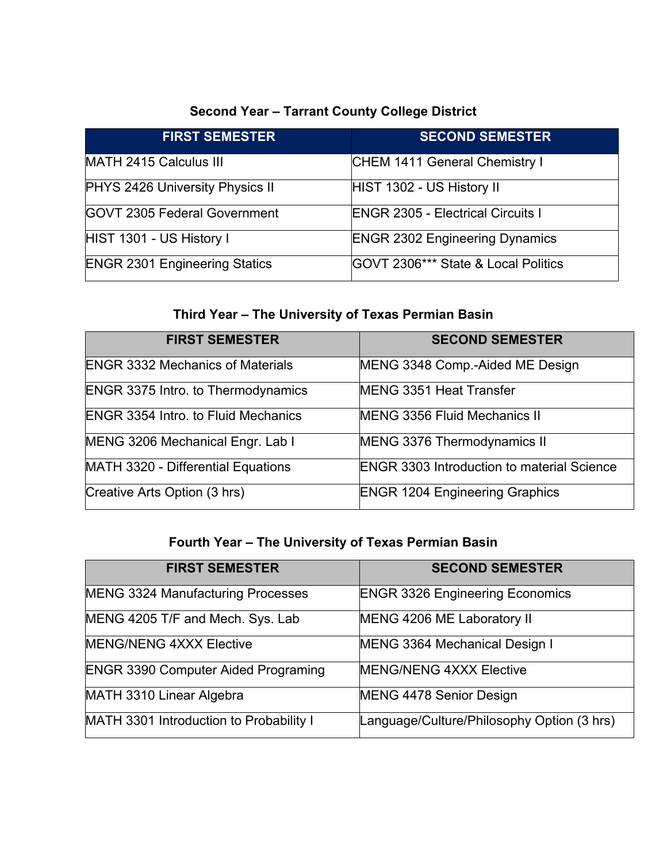# **Second Year – Tarrant County College District**

| <b>FIRST SEMESTER</b>                | <b>SECOND SEMESTER</b>                   |
|--------------------------------------|------------------------------------------|
| MATH 2415 Calculus III               | CHEM 1411 General Chemistry I            |
| PHYS 2426 University Physics II      | HIST 1302 - US History II                |
| <b>GOVT 2305 Federal Government</b>  | <b>ENGR 2305 - Electrical Circuits I</b> |
| HIST 1301 - US History I             | <b>ENGR 2302 Engineering Dynamics</b>    |
| <b>ENGR 2301 Engineering Statics</b> | IGOVT 2306*** State & Local Politics     |

# **Third Year – The University of Texas Permian Basin**

| <b>FIRST SEMESTER</b>                      | <b>SECOND SEMESTER</b>                            |
|--------------------------------------------|---------------------------------------------------|
| <b>ENGR 3332 Mechanics of Materials</b>    | MENG 3348 Comp.-Aided ME Design                   |
| <b>ENGR 3375 Intro. to Thermodynamics</b>  | <b>MENG 3351 Heat Transfer</b>                    |
| <b>ENGR 3354 Intro. to Fluid Mechanics</b> | <b>MENG 3356 Fluid Mechanics II</b>               |
| MENG 3206 Mechanical Engr. Lab I           | MENG 3376 Thermodynamics II                       |
| MATH 3320 - Differential Equations         | <b>ENGR 3303 Introduction to material Science</b> |
| Creative Arts Option (3 hrs)               | <b>ENGR 1204 Engineering Graphics</b>             |

# **Fourth Year – The University of Texas Permian Basin**

| <b>FIRST SEMESTER</b>                      | <b>SECOND SEMESTER</b>                     |
|--------------------------------------------|--------------------------------------------|
| <b>MENG 3324 Manufacturing Processes</b>   | <b>ENGR 3326 Engineering Economics</b>     |
| MENG 4205 T/F and Mech. Sys. Lab           | MENG 4206 ME Laboratory II                 |
| <b>MENG/NENG 4XXX Elective</b>             | <b>MENG 3364 Mechanical Design I</b>       |
| <b>ENGR 3390 Computer Aided Programing</b> | <b>MENG/NENG 4XXX Elective</b>             |
| MATH 3310 Linear Algebra                   | <b>MENG 4478 Senior Design</b>             |
| MATH 3301 Introduction to Probability I    | Language/Culture/Philosophy Option (3 hrs) |